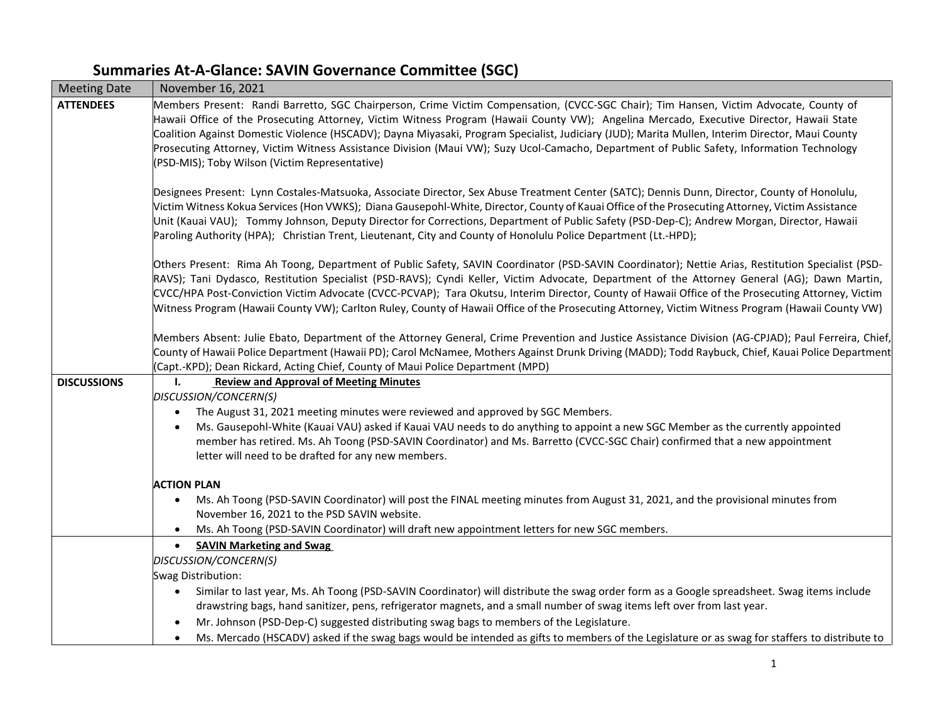## **Summaries At-A-Glance: SAVIN Governance Committee (SGC)**

| <b>Meeting Date</b> | November 16, 2021                                                                                                                                                                  |
|---------------------|------------------------------------------------------------------------------------------------------------------------------------------------------------------------------------|
| <b>ATTENDEES</b>    | Members Present: Randi Barretto, SGC Chairperson, Crime Victim Compensation, (CVCC-SGC Chair); Tim Hansen, Victim Advocate, County of                                              |
|                     | Hawaii Office of the Prosecuting Attorney, Victim Witness Program (Hawaii County VW); Angelina Mercado, Executive Director, Hawaii State                                           |
|                     | Coalition Against Domestic Violence (HSCADV); Dayna Miyasaki, Program Specialist, Judiciary (JUD); Marita Mullen, Interim Director, Maui County                                    |
|                     | Prosecuting Attorney, Victim Witness Assistance Division (Maui VW); Suzy Ucol-Camacho, Department of Public Safety, Information Technology                                         |
|                     | (PSD-MIS); Toby Wilson (Victim Representative)                                                                                                                                     |
|                     | Designees Present: Lynn Costales-Matsuoka, Associate Director, Sex Abuse Treatment Center (SATC); Dennis Dunn, Director, County of Honolulu,                                       |
|                     | Victim Witness Kokua Services (Hon VWKS); Diana Gausepohl-White, Director, County of Kauai Office of the Prosecuting Attorney, Victim Assistance                                   |
|                     | Unit (Kauai VAU); Tommy Johnson, Deputy Director for Corrections, Department of Public Safety (PSD-Dep-C); Andrew Morgan, Director, Hawaii                                         |
|                     | Paroling Authority (HPA); Christian Trent, Lieutenant, City and County of Honolulu Police Department (Lt.-HPD);                                                                    |
|                     | Others Present: Rima Ah Toong, Department of Public Safety, SAVIN Coordinator (PSD-SAVIN Coordinator); Nettie Arias, Restitution Specialist (PSD-                                  |
|                     | RAVS); Tani Dydasco, Restitution Specialist (PSD-RAVS); Cyndi Keller, Victim Advocate, Department of the Attorney General (AG); Dawn Martin,                                       |
|                     | CVCC/HPA Post-Conviction Victim Advocate (CVCC-PCVAP); Tara Okutsu, Interim Director, County of Hawaii Office of the Prosecuting Attorney, Victim                                  |
|                     | Witness Program (Hawaii County VW); Carlton Ruley, County of Hawaii Office of the Prosecuting Attorney, Victim Witness Program (Hawaii County VW)                                  |
|                     | Members Absent: Julie Ebato, Department of the Attorney General, Crime Prevention and Justice Assistance Division (AG-CPJAD); Paul Ferreira, Chief,                                |
|                     | County of Hawaii Police Department (Hawaii PD); Carol McNamee, Mothers Against Drunk Driving (MADD); Todd Raybuck, Chief, Kauai Police Department                                  |
|                     | (Capt.-KPD); Dean Rickard, Acting Chief, County of Maui Police Department (MPD)                                                                                                    |
| <b>DISCUSSIONS</b>  | <b>Review and Approval of Meeting Minutes</b><br>Ъ.                                                                                                                                |
|                     | DISCUSSION/CONCERN(S)                                                                                                                                                              |
|                     | The August 31, 2021 meeting minutes were reviewed and approved by SGC Members.<br>$\bullet$                                                                                        |
|                     | Ms. Gausepohl-White (Kauai VAU) asked if Kauai VAU needs to do anything to appoint a new SGC Member as the currently appointed<br>$\bullet$                                        |
|                     | member has retired. Ms. Ah Toong (PSD-SAVIN Coordinator) and Ms. Barretto (CVCC-SGC Chair) confirmed that a new appointment<br>letter will need to be drafted for any new members. |
|                     |                                                                                                                                                                                    |
|                     | <b>ACTION PLAN</b>                                                                                                                                                                 |
|                     | Ms. Ah Toong (PSD-SAVIN Coordinator) will post the FINAL meeting minutes from August 31, 2021, and the provisional minutes from<br>$\bullet$                                       |
|                     | November 16, 2021 to the PSD SAVIN website.                                                                                                                                        |
|                     | Ms. Ah Toong (PSD-SAVIN Coordinator) will draft new appointment letters for new SGC members.<br>$\bullet$                                                                          |
|                     | <b>SAVIN Marketing and Swag</b><br>$\bullet$                                                                                                                                       |
|                     | DISCUSSION/CONCERN(S)                                                                                                                                                              |
|                     | Swag Distribution:                                                                                                                                                                 |
|                     | Similar to last year, Ms. Ah Toong (PSD-SAVIN Coordinator) will distribute the swag order form as a Google spreadsheet. Swag items include<br>$\bullet$                            |
|                     | drawstring bags, hand sanitizer, pens, refrigerator magnets, and a small number of swag items left over from last year.                                                            |
|                     | Mr. Johnson (PSD-Dep-C) suggested distributing swag bags to members of the Legislature.<br>$\bullet$                                                                               |
|                     | Ms. Mercado (HSCADV) asked if the swag bags would be intended as gifts to members of the Legislature or as swag for staffers to distribute to<br>$\bullet$                         |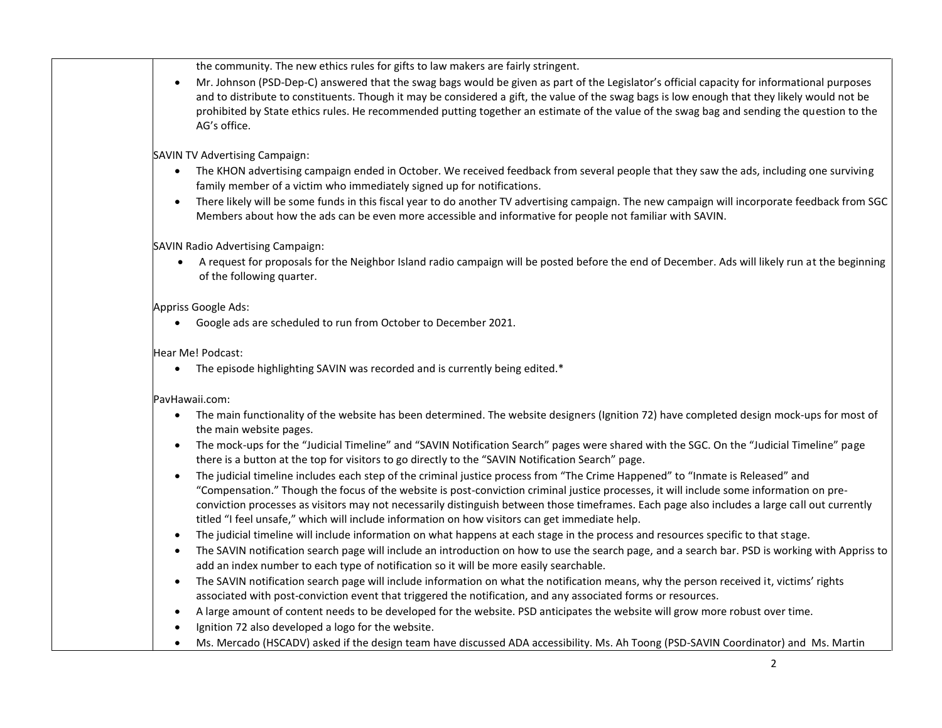the community. The new ethics rules for gifts to law makers are fairly stringent.

• Mr. Johnson (PSD-Dep-C) answered that the swag bags would be given as part of the Legislator's official capacity for informational purposes and to distribute to constituents. Though it may be considered a gift, the value of the swag bags is low enough that they likely would not be prohibited by State ethics rules. He recommended putting together an estimate of the value of the swag bag and sending the question to the AG's office.

SAVIN TV Advertising Campaign:

- The KHON advertising campaign ended in October. We received feedback from several people that they saw the ads, including one surviving family member of a victim who immediately signed up for notifications.
- There likely will be some funds in this fiscal year to do another TV advertising campaign. The new campaign will incorporate feedback from SGC Members about how the ads can be even more accessible and informative for people not familiar with SAVIN.

SAVIN Radio Advertising Campaign:

• A request for proposals for the Neighbor Island radio campaign will be posted before the end of December. Ads will likely run at the beginning of the following quarter.

Appriss Google Ads:

• Google ads are scheduled to run from October to December 2021.

Hear Me! Podcast:

• The episode highlighting SAVIN was recorded and is currently being edited.\*

PavHawaii.com:

- The main functionality of the website has been determined. The website designers (Ignition 72) have completed design mock-ups for most of the main website pages.
- The mock-ups for the "Judicial Timeline" and "SAVIN Notification Search" pages were shared with the SGC. On the "Judicial Timeline" page there is a button at the top for visitors to go directly to the "SAVIN Notification Search" page.
- The judicial timeline includes each step of the criminal justice process from "The Crime Happened" to "Inmate is Released" and "Compensation." Though the focus of the website is post-conviction criminal justice processes, it will include some information on preconviction processes as visitors may not necessarily distinguish between those timeframes. Each page also includes a large call out currently titled "I feel unsafe," which will include information on how visitors can get immediate help.
- The judicial timeline will include information on what happens at each stage in the process and resources specific to that stage.
- The SAVIN notification search page will include an introduction on how to use the search page, and a search bar. PSD is working with Appriss to add an index number to each type of notification so it will be more easily searchable.
- The SAVIN notification search page will include information on what the notification means, why the person received it, victims' rights associated with post-conviction event that triggered the notification, and any associated forms or resources.
- A large amount of content needs to be developed for the website. PSD anticipates the website will grow more robust over time.
- Ignition 72 also developed a logo for the website.
- Ms. Mercado (HSCADV) asked if the design team have discussed ADA accessibility. Ms. Ah Toong (PSD-SAVIN Coordinator) and Ms. Martin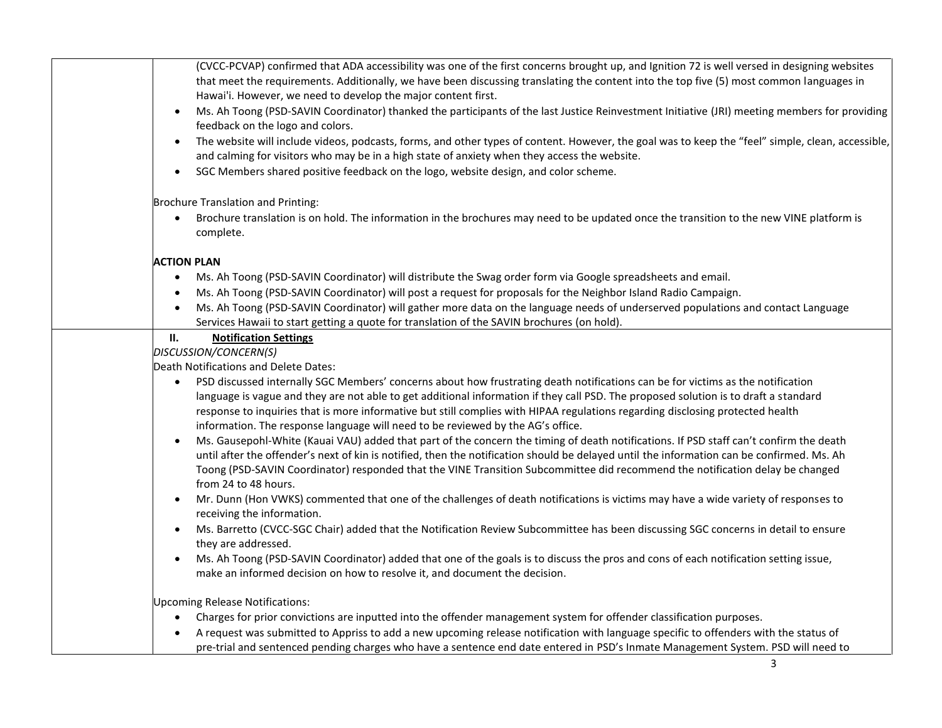| (CVCC-PCVAP) confirmed that ADA accessibility was one of the first concerns brought up, and Ignition 72 is well versed in designing websites                                                                                                                   |
|----------------------------------------------------------------------------------------------------------------------------------------------------------------------------------------------------------------------------------------------------------------|
| that meet the requirements. Additionally, we have been discussing translating the content into the top five (5) most common languages in                                                                                                                       |
| Hawai'i. However, we need to develop the major content first.                                                                                                                                                                                                  |
| Ms. Ah Toong (PSD-SAVIN Coordinator) thanked the participants of the last Justice Reinvestment Initiative (JRI) meeting members for providing<br>$\bullet$<br>feedback on the logo and colors.                                                                 |
| The website will include videos, podcasts, forms, and other types of content. However, the goal was to keep the "feel" simple, clean, accessible,<br>$\bullet$<br>and calming for visitors who may be in a high state of anxiety when they access the website. |
| SGC Members shared positive feedback on the logo, website design, and color scheme.<br>$\bullet$                                                                                                                                                               |
| Brochure Translation and Printing:                                                                                                                                                                                                                             |
| Brochure translation is on hold. The information in the brochures may need to be updated once the transition to the new VINE platform is<br>$\bullet$<br>complete.                                                                                             |
| <b>ACTION PLAN</b>                                                                                                                                                                                                                                             |
| Ms. Ah Toong (PSD-SAVIN Coordinator) will distribute the Swag order form via Google spreadsheets and email.<br>$\bullet$                                                                                                                                       |
| Ms. Ah Toong (PSD-SAVIN Coordinator) will post a request for proposals for the Neighbor Island Radio Campaign.<br>$\bullet$                                                                                                                                    |
| Ms. Ah Toong (PSD-SAVIN Coordinator) will gather more data on the language needs of underserved populations and contact Language<br>$\bullet$<br>Services Hawaii to start getting a quote for translation of the SAVIN brochures (on hold).                    |
| н.<br><b>Notification Settings</b>                                                                                                                                                                                                                             |
| DISCUSSION/CONCERN(S)                                                                                                                                                                                                                                          |
| Death Notifications and Delete Dates:                                                                                                                                                                                                                          |
| PSD discussed internally SGC Members' concerns about how frustrating death notifications can be for victims as the notification<br>$\bullet$                                                                                                                   |
| language is vague and they are not able to get additional information if they call PSD. The proposed solution is to draft a standard                                                                                                                           |
| response to inquiries that is more informative but still complies with HIPAA regulations regarding disclosing protected health                                                                                                                                 |
| information. The response language will need to be reviewed by the AG's office.<br>Ms. Gausepohl-White (Kauai VAU) added that part of the concern the timing of death notifications. If PSD staff can't confirm the death<br>$\bullet$                         |
| until after the offender's next of kin is notified, then the notification should be delayed until the information can be confirmed. Ms. Ah                                                                                                                     |
| Toong (PSD-SAVIN Coordinator) responded that the VINE Transition Subcommittee did recommend the notification delay be changed<br>from 24 to 48 hours.                                                                                                          |
| Mr. Dunn (Hon VWKS) commented that one of the challenges of death notifications is victims may have a wide variety of responses to<br>$\bullet$<br>receiving the information.                                                                                  |
| Ms. Barretto (CVCC-SGC Chair) added that the Notification Review Subcommittee has been discussing SGC concerns in detail to ensure<br>$\bullet$<br>they are addressed.                                                                                         |
| Ms. Ah Toong (PSD-SAVIN Coordinator) added that one of the goals is to discuss the pros and cons of each notification setting issue,<br>$\bullet$<br>make an informed decision on how to resolve it, and document the decision.                                |
| <b>Upcoming Release Notifications:</b>                                                                                                                                                                                                                         |
| Charges for prior convictions are inputted into the offender management system for offender classification purposes.<br>$\bullet$                                                                                                                              |
| A request was submitted to Appriss to add a new upcoming release notification with language specific to offenders with the status of<br>$\bullet$                                                                                                              |
| pre-trial and sentenced pending charges who have a sentence end date entered in PSD's Inmate Management System. PSD will need to                                                                                                                               |
| 3                                                                                                                                                                                                                                                              |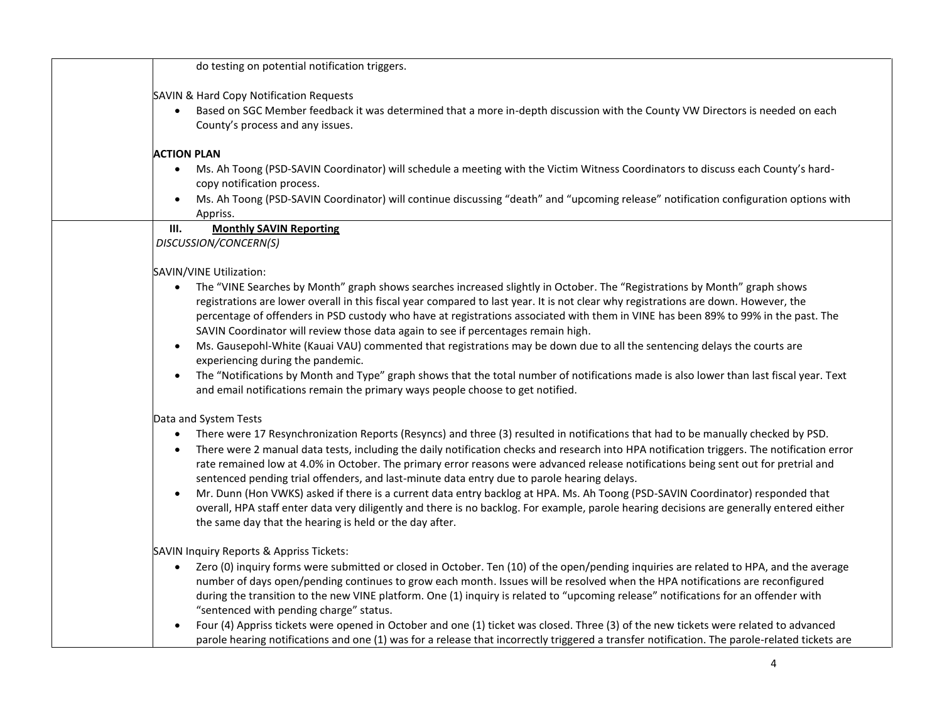| do testing on potential notification triggers.                                                                                                                                                                                                                                           |
|------------------------------------------------------------------------------------------------------------------------------------------------------------------------------------------------------------------------------------------------------------------------------------------|
| SAVIN & Hard Copy Notification Requests                                                                                                                                                                                                                                                  |
| Based on SGC Member feedback it was determined that a more in-depth discussion with the County VW Directors is needed on each<br>$\bullet$                                                                                                                                               |
| County's process and any issues.                                                                                                                                                                                                                                                         |
| <b>ACTION PLAN</b>                                                                                                                                                                                                                                                                       |
| Ms. Ah Toong (PSD-SAVIN Coordinator) will schedule a meeting with the Victim Witness Coordinators to discuss each County's hard-<br>$\bullet$                                                                                                                                            |
| copy notification process.                                                                                                                                                                                                                                                               |
| Ms. Ah Toong (PSD-SAVIN Coordinator) will continue discussing "death" and "upcoming release" notification configuration options with                                                                                                                                                     |
| Appriss.<br>III.<br><b>Monthly SAVIN Reporting</b>                                                                                                                                                                                                                                       |
| DISCUSSION/CONCERN(S)                                                                                                                                                                                                                                                                    |
|                                                                                                                                                                                                                                                                                          |
| SAVIN/VINE Utilization:                                                                                                                                                                                                                                                                  |
| The "VINE Searches by Month" graph shows searches increased slightly in October. The "Registrations by Month" graph shows<br>$\bullet$                                                                                                                                                   |
| registrations are lower overall in this fiscal year compared to last year. It is not clear why registrations are down. However, the                                                                                                                                                      |
| percentage of offenders in PSD custody who have at registrations associated with them in VINE has been 89% to 99% in the past. The                                                                                                                                                       |
| SAVIN Coordinator will review those data again to see if percentages remain high.                                                                                                                                                                                                        |
| Ms. Gausepohl-White (Kauai VAU) commented that registrations may be down due to all the sentencing delays the courts are<br>$\bullet$<br>experiencing during the pandemic.                                                                                                               |
| The "Notifications by Month and Type" graph shows that the total number of notifications made is also lower than last fiscal year. Text<br>$\bullet$                                                                                                                                     |
| and email notifications remain the primary ways people choose to get notified.                                                                                                                                                                                                           |
| Data and System Tests                                                                                                                                                                                                                                                                    |
| There were 17 Resynchronization Reports (Resyncs) and three (3) resulted in notifications that had to be manually checked by PSD.<br>$\bullet$                                                                                                                                           |
| There were 2 manual data tests, including the daily notification checks and research into HPA notification triggers. The notification error<br>$\bullet$                                                                                                                                 |
| rate remained low at 4.0% in October. The primary error reasons were advanced release notifications being sent out for pretrial and                                                                                                                                                      |
| sentenced pending trial offenders, and last-minute data entry due to parole hearing delays.                                                                                                                                                                                              |
| Mr. Dunn (Hon VWKS) asked if there is a current data entry backlog at HPA. Ms. Ah Toong (PSD-SAVIN Coordinator) responded that<br>$\bullet$<br>overall, HPA staff enter data very diligently and there is no backlog. For example, parole hearing decisions are generally entered either |
| the same day that the hearing is held or the day after.                                                                                                                                                                                                                                  |
|                                                                                                                                                                                                                                                                                          |
| SAVIN Inquiry Reports & Appriss Tickets:                                                                                                                                                                                                                                                 |
| Zero (0) inquiry forms were submitted or closed in October. Ten (10) of the open/pending inquiries are related to HPA, and the average<br>$\bullet$<br>number of days open/pending continues to grow each month. Issues will be resolved when the HPA notifications are reconfigured     |
| during the transition to the new VINE platform. One (1) inquiry is related to "upcoming release" notifications for an offender with                                                                                                                                                      |
| "sentenced with pending charge" status.                                                                                                                                                                                                                                                  |
| Four (4) Appriss tickets were opened in October and one (1) ticket was closed. Three (3) of the new tickets were related to advanced                                                                                                                                                     |
| parole hearing notifications and one (1) was for a release that incorrectly triggered a transfer notification. The parole-related tickets are                                                                                                                                            |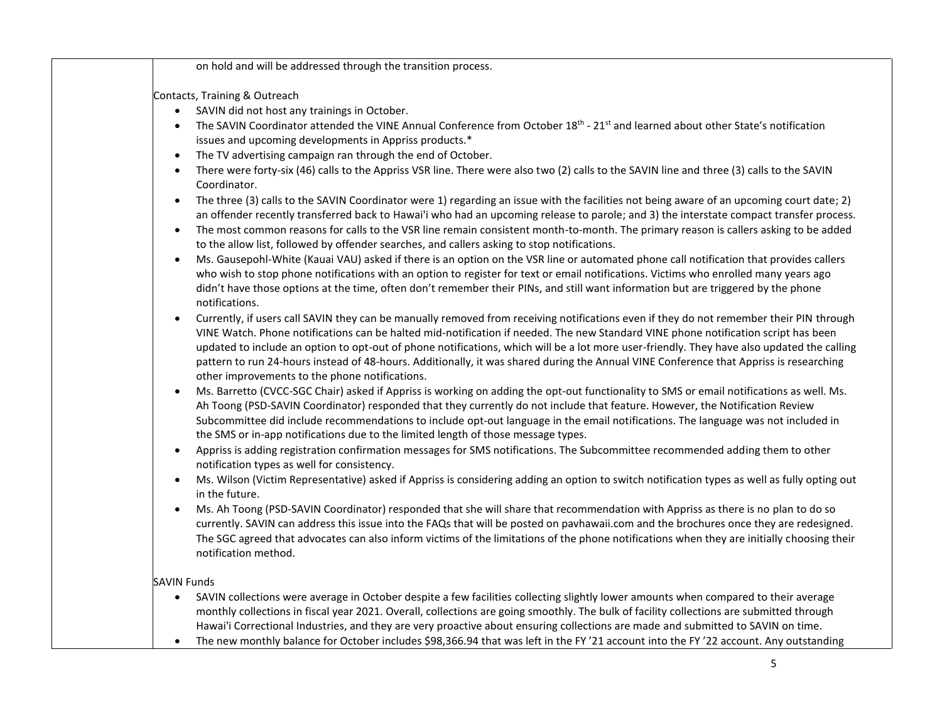|           | on hold and will be addressed through the transition process.                                                                                                                                                                       |
|-----------|-------------------------------------------------------------------------------------------------------------------------------------------------------------------------------------------------------------------------------------|
|           | Contacts, Training & Outreach                                                                                                                                                                                                       |
| $\bullet$ | SAVIN did not host any trainings in October.                                                                                                                                                                                        |
| $\bullet$ | The SAVIN Coordinator attended the VINE Annual Conference from October 18 <sup>th</sup> - 21 <sup>st</sup> and learned about other State's notification                                                                             |
|           | issues and upcoming developments in Appriss products.*                                                                                                                                                                              |
| $\bullet$ | The TV advertising campaign ran through the end of October.                                                                                                                                                                         |
| $\bullet$ | There were forty-six (46) calls to the Appriss VSR line. There were also two (2) calls to the SAVIN line and three (3) calls to the SAVIN<br>Coordinator.                                                                           |
| $\bullet$ | The three (3) calls to the SAVIN Coordinator were 1) regarding an issue with the facilities not being aware of an upcoming court date; 2)                                                                                           |
|           | an offender recently transferred back to Hawai'i who had an upcoming release to parole; and 3) the interstate compact transfer process.                                                                                             |
| $\bullet$ | The most common reasons for calls to the VSR line remain consistent month-to-month. The primary reason is callers asking to be added<br>to the allow list, followed by offender searches, and callers asking to stop notifications. |
| $\bullet$ | Ms. Gausepohl-White (Kauai VAU) asked if there is an option on the VSR line or automated phone call notification that provides callers                                                                                              |
|           | who wish to stop phone notifications with an option to register for text or email notifications. Victims who enrolled many years ago                                                                                                |
|           | didn't have those options at the time, often don't remember their PINs, and still want information but are triggered by the phone<br>notifications.                                                                                 |
| $\bullet$ | Currently, if users call SAVIN they can be manually removed from receiving notifications even if they do not remember their PIN through                                                                                             |
|           | VINE Watch. Phone notifications can be halted mid-notification if needed. The new Standard VINE phone notification script has been                                                                                                  |
|           | updated to include an option to opt-out of phone notifications, which will be a lot more user-friendly. They have also updated the calling                                                                                          |
|           | pattern to run 24-hours instead of 48-hours. Additionally, it was shared during the Annual VINE Conference that Appriss is researching                                                                                              |
|           | other improvements to the phone notifications.                                                                                                                                                                                      |
| $\bullet$ | Ms. Barretto (CVCC-SGC Chair) asked if Appriss is working on adding the opt-out functionality to SMS or email notifications as well. Ms.                                                                                            |
|           | Ah Toong (PSD-SAVIN Coordinator) responded that they currently do not include that feature. However, the Notification Review                                                                                                        |
|           | Subcommittee did include recommendations to include opt-out language in the email notifications. The language was not included in                                                                                                   |
|           | the SMS or in-app notifications due to the limited length of those message types.                                                                                                                                                   |
| $\bullet$ | Appriss is adding registration confirmation messages for SMS notifications. The Subcommittee recommended adding them to other<br>notification types as well for consistency.                                                        |
| $\bullet$ | Ms. Wilson (Victim Representative) asked if Appriss is considering adding an option to switch notification types as well as fully opting out<br>in the future.                                                                      |
| $\bullet$ | Ms. Ah Toong (PSD-SAVIN Coordinator) responded that she will share that recommendation with Appriss as there is no plan to do so                                                                                                    |
|           | currently. SAVIN can address this issue into the FAQs that will be posted on pavhawaii.com and the brochures once they are redesigned.                                                                                              |
|           | The SGC agreed that advocates can also inform victims of the limitations of the phone notifications when they are initially choosing their                                                                                          |
|           | notification method.                                                                                                                                                                                                                |
|           | <b>SAVIN Funds</b>                                                                                                                                                                                                                  |
| $\bullet$ | SAVIN collections were average in October despite a few facilities collecting slightly lower amounts when compared to their average                                                                                                 |
|           | monthly collections in fiscal year 2021. Overall, collections are going smoothly. The bulk of facility collections are submitted through                                                                                            |
|           | Hawai'i Correctional Industries, and they are very proactive about ensuring collections are made and submitted to SAVIN on time.                                                                                                    |
| $\bullet$ | The new monthly balance for October includes \$98,366.94 that was left in the FY'21 account into the FY'22 account. Any outstanding                                                                                                 |
|           |                                                                                                                                                                                                                                     |
|           | 5                                                                                                                                                                                                                                   |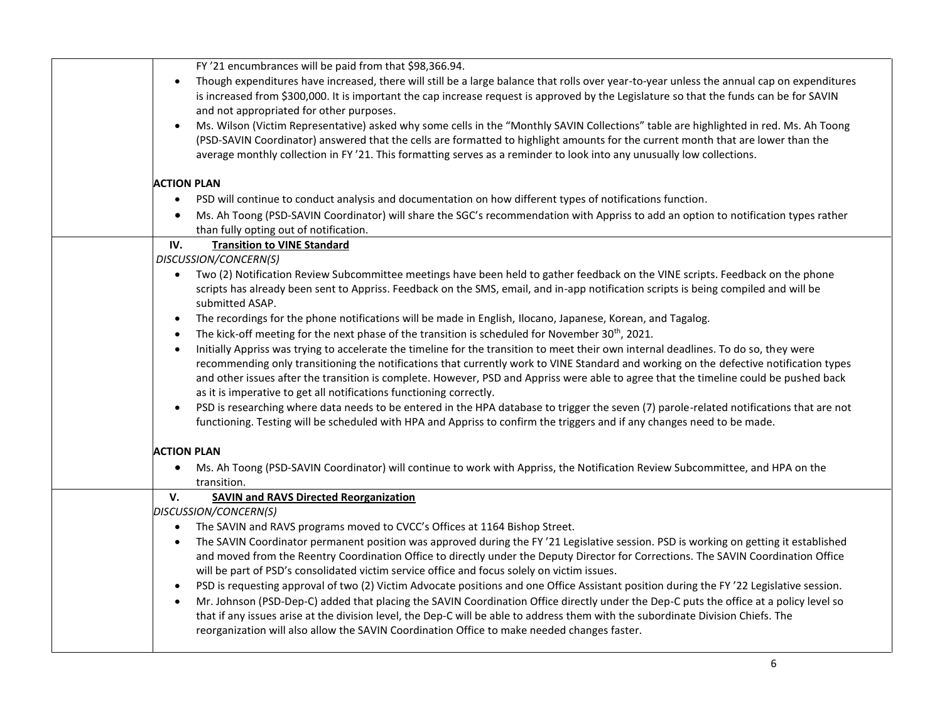| FY '21 encumbrances will be paid from that \$98,366.94.                                                                                               |
|-------------------------------------------------------------------------------------------------------------------------------------------------------|
| Though expenditures have increased, there will still be a large balance that rolls over year-to-year unless the annual cap on expenditures            |
| is increased from \$300,000. It is important the cap increase request is approved by the Legislature so that the funds can be for SAVIN               |
| and not appropriated for other purposes.                                                                                                              |
| Ms. Wilson (Victim Representative) asked why some cells in the "Monthly SAVIN Collections" table are highlighted in red. Ms. Ah Toong<br>$\bullet$    |
| (PSD-SAVIN Coordinator) answered that the cells are formatted to highlight amounts for the current month that are lower than the                      |
| average monthly collection in FY '21. This formatting serves as a reminder to look into any unusually low collections.                                |
| <b>ACTION PLAN</b>                                                                                                                                    |
| PSD will continue to conduct analysis and documentation on how different types of notifications function.<br>$\bullet$                                |
| Ms. Ah Toong (PSD-SAVIN Coordinator) will share the SGC's recommendation with Appriss to add an option to notification types rather<br>$\bullet$      |
| than fully opting out of notification.                                                                                                                |
| IV.<br><b>Transition to VINE Standard</b>                                                                                                             |
| DISCUSSION/CONCERN(S)                                                                                                                                 |
| Two (2) Notification Review Subcommittee meetings have been held to gather feedback on the VINE scripts. Feedback on the phone<br>$\bullet$           |
| scripts has already been sent to Appriss. Feedback on the SMS, email, and in-app notification scripts is being compiled and will be                   |
| submitted ASAP.                                                                                                                                       |
| The recordings for the phone notifications will be made in English, Ilocano, Japanese, Korean, and Tagalog.<br>$\bullet$                              |
| The kick-off meeting for the next phase of the transition is scheduled for November 30 <sup>th</sup> , 2021.<br>$\bullet$                             |
| Initially Appriss was trying to accelerate the timeline for the transition to meet their own internal deadlines. To do so, they were<br>$\bullet$     |
| recommending only transitioning the notifications that currently work to VINE Standard and working on the defective notification types                |
| and other issues after the transition is complete. However, PSD and Appriss were able to agree that the timeline could be pushed back                 |
| as it is imperative to get all notifications functioning correctly.                                                                                   |
| PSD is researching where data needs to be entered in the HPA database to trigger the seven (7) parole-related notifications that are not<br>$\bullet$ |
| functioning. Testing will be scheduled with HPA and Appriss to confirm the triggers and if any changes need to be made.                               |
| <b>ACTION PLAN</b>                                                                                                                                    |
| Ms. Ah Toong (PSD-SAVIN Coordinator) will continue to work with Appriss, the Notification Review Subcommittee, and HPA on the<br>$\bullet$            |
| transition.                                                                                                                                           |
| V.<br><b>SAVIN and RAVS Directed Reorganization</b>                                                                                                   |
| DISCUSSION/CONCERN(S)                                                                                                                                 |
| The SAVIN and RAVS programs moved to CVCC's Offices at 1164 Bishop Street.                                                                            |
| The SAVIN Coordinator permanent position was approved during the FY '21 Legislative session. PSD is working on getting it established                 |
| and moved from the Reentry Coordination Office to directly under the Deputy Director for Corrections. The SAVIN Coordination Office                   |
| will be part of PSD's consolidated victim service office and focus solely on victim issues.                                                           |
| PSD is requesting approval of two (2) Victim Advocate positions and one Office Assistant position during the FY'22 Legislative session.<br>$\bullet$  |
| Mr. Johnson (PSD-Dep-C) added that placing the SAVIN Coordination Office directly under the Dep-C puts the office at a policy level so<br>$\bullet$   |
| that if any issues arise at the division level, the Dep-C will be able to address them with the subordinate Division Chiefs. The                      |
| reorganization will also allow the SAVIN Coordination Office to make needed changes faster.                                                           |
|                                                                                                                                                       |